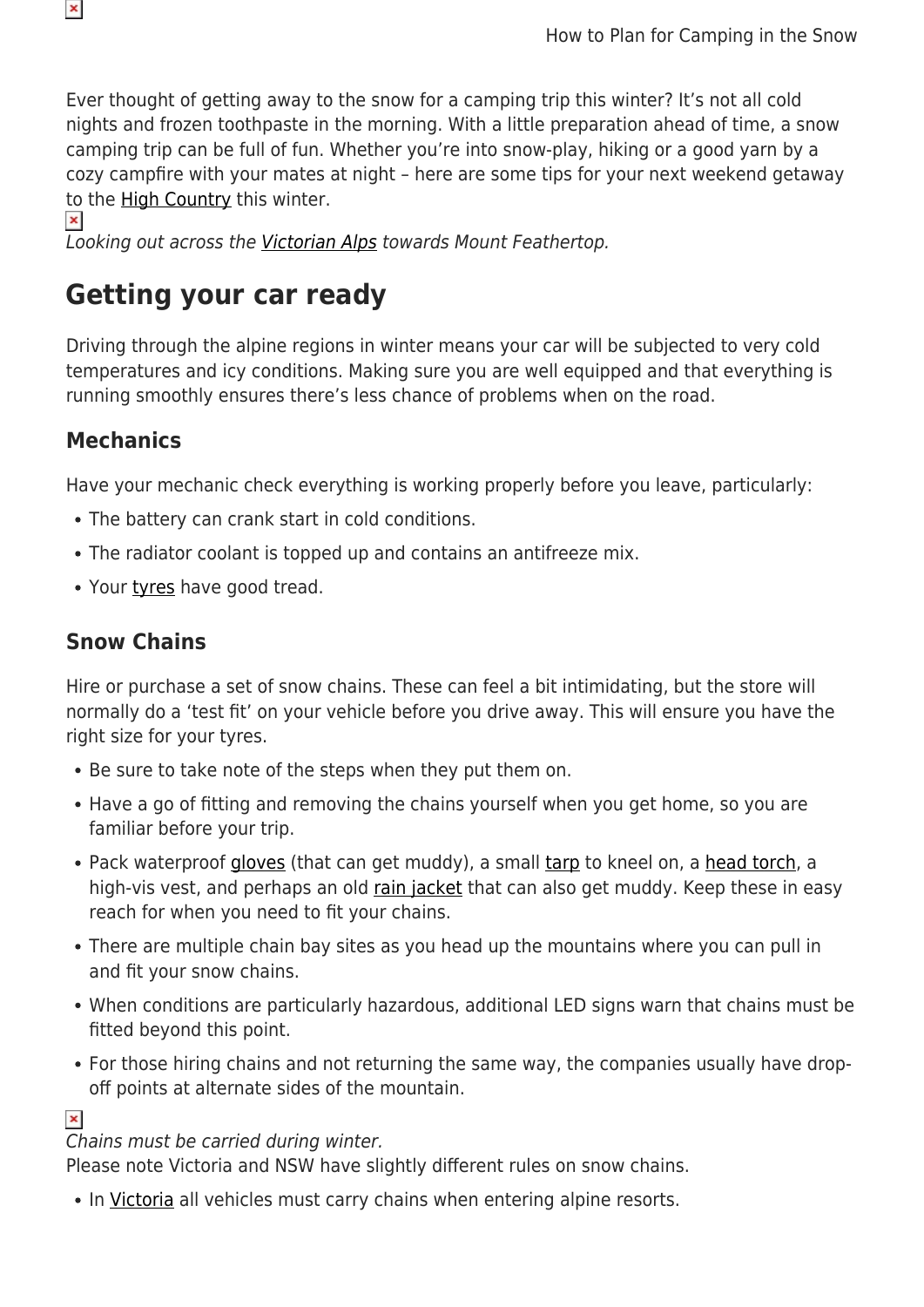Ever thought of getting away to the snow for a camping trip this winter? It's not all cold nights and frozen toothpaste in the morning. With a little preparation ahead of time, a snow camping trip can be full of fun. Whether you're into snow-play, hiking or a good yarn by a cozy campfire with your mates at night – here are some tips for your next weekend getaway to the [High Country](https://www.snowys.com.au/blog/howqua-hills-historic-area/) this winter.

Looking out across the [Victorian Alps](https://www.snowys.com.au/blog/hiking-mount-howitt-in-the-victorian-alps/) towards Mount Feathertop.

## **Getting your car ready**

Driving through the alpine regions in winter means your car will be subjected to very cold temperatures and icy conditions. Making sure you are well equipped and that everything is running smoothly ensures there's less chance of problems when on the road.

#### **Mechanics**

 $\pmb{\times}$ 

 $\pmb{\times}$ 

Have your mechanic check everything is working properly before you leave, particularly:

- The battery can crank start in cold conditions.
- The radiator coolant is topped up and contains an antifreeze mix.
- Your [tyres](https://www.snowys.com.au/blog/are-your-4wd-tyres-up-to-scratch/) have good tread.

### **Snow Chains**

Hire or purchase a set of snow chains. These can feel a bit intimidating, but the store will normally do a 'test fit' on your vehicle before you drive away. This will ensure you have the right size for your tyres.

- Be sure to take note of the steps when they put them on.
- Have a go of fitting and removing the chains yourself when you get home, so you are familiar before your trip.
- Pack waterproof [gloves](https://www.snowys.com.au/hiking-camping-gloves) (that can get muddy), a small [tarp](https://www.snowys.com.au/camping-tarps) to kneel on, a [head torch](https://www.snowys.com.au/headlamps), a high-vis vest, and perhaps an old [rain jacket](https://www.snowys.com.au/rainwear) that can also get muddy. Keep these in easy reach for when you need to fit your chains.
- There are multiple chain bay sites as you head up the mountains where you can pull in and fit your snow chains.
- When conditions are particularly hazardous, additional LED signs warn that chains must be fitted beyond this point.
- For those hiring chains and not returning the same way, the companies usually have dropoff points at alternate sides of the mountain.

#### $\pmb{\times}$

#### Chains must be carried during winter.

Please note Victoria and NSW have slightly different rules on snow chains.

• In [Victoria](https://www.vicroads.vic.gov.au/safety-and-road-rules/driver-safety/snow-and-winter-driving/snow-chains) all vehicles must carry chains when entering alpine resorts.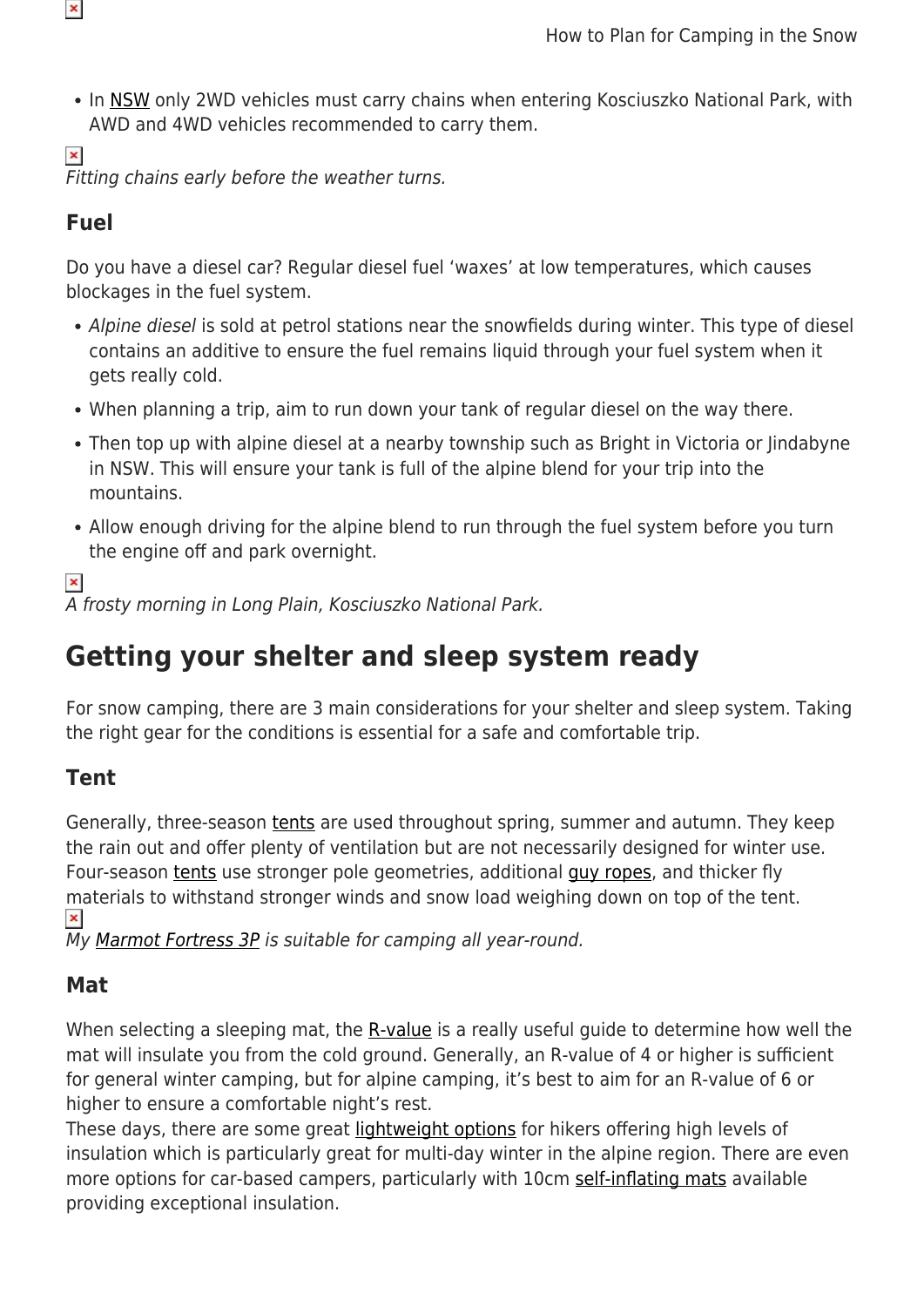• In [NSW](https://www.environment.nsw.gov.au/questions/snow-chains-kosciuszko-national-park) only 2WD vehicles must carry chains when entering Kosciuszko National Park, with AWD and 4WD vehicles recommended to carry them.

 $\pmb{\times}$ Fitting chains early before the weather turns.

### **Fuel**

 $\pmb{\times}$ 

Do you have a diesel car? Regular diesel fuel 'waxes' at low temperatures, which causes blockages in the fuel system.

- Alpine diesel is sold at petrol stations near the snowfields during winter. This type of diesel contains an additive to ensure the fuel remains liquid through your fuel system when it gets really cold.
- When planning a trip, aim to run down your tank of regular diesel on the way there.
- Then top up with alpine diesel at a nearby township such as Bright in Victoria or lindabyne in NSW. This will ensure your tank is full of the alpine blend for your trip into the mountains.
- Allow enough driving for the alpine blend to run through the fuel system before you turn the engine off and park overnight.

#### $\pmb{\times}$

A frosty morning in Long Plain, Kosciuszko National Park.

# **Getting your shelter and sleep system ready**

For snow camping, there are 3 main considerations for your shelter and sleep system. Taking the right gear for the conditions is essential for a safe and comfortable trip.

## **Tent**

Generally, three-season [tents](https://www.snowys.com.au/camping-tents) are used throughout spring, summer and autumn. They keep the rain out and offer plenty of ventilation but are not necessarily designed for winter use. Four-season [tents](https://www.snowys.com.au/hiking-tents) use stronger pole geometries, additional [guy ropes,](https://www.snowys.com.au/hiking-tent-accessories) and thicker fly materials to withstand stronger winds and snow load weighing down on top of the tent.  $\pmb{\times}$ 

My [Marmot Fortress 3P](https://www.snowys.com.au/fortress-3p-tent) is suitable for camping all year-round.

### **Mat**

When selecting a sleeping mat, the [R-value](https://www.snowys.com.au/blog/r-value-explained/) is a really useful guide to determine how well the mat will insulate you from the cold ground. Generally, an R-value of 4 or higher is sufficient for general winter camping, but for alpine camping, it's best to aim for an R-value of 6 or higher to ensure a comfortable night's rest.

These days, there are some great [lightweight options](https://www.snowys.com.au/hiking-sleeping-mats) for hikers offering high levels of insulation which is particularly great for multi-day winter in the alpine region. There are even more options for car-based campers, particularly with 10cm [self-inflating mats](https://youtu.be/MJGwdyBPrWs) available providing exceptional insulation.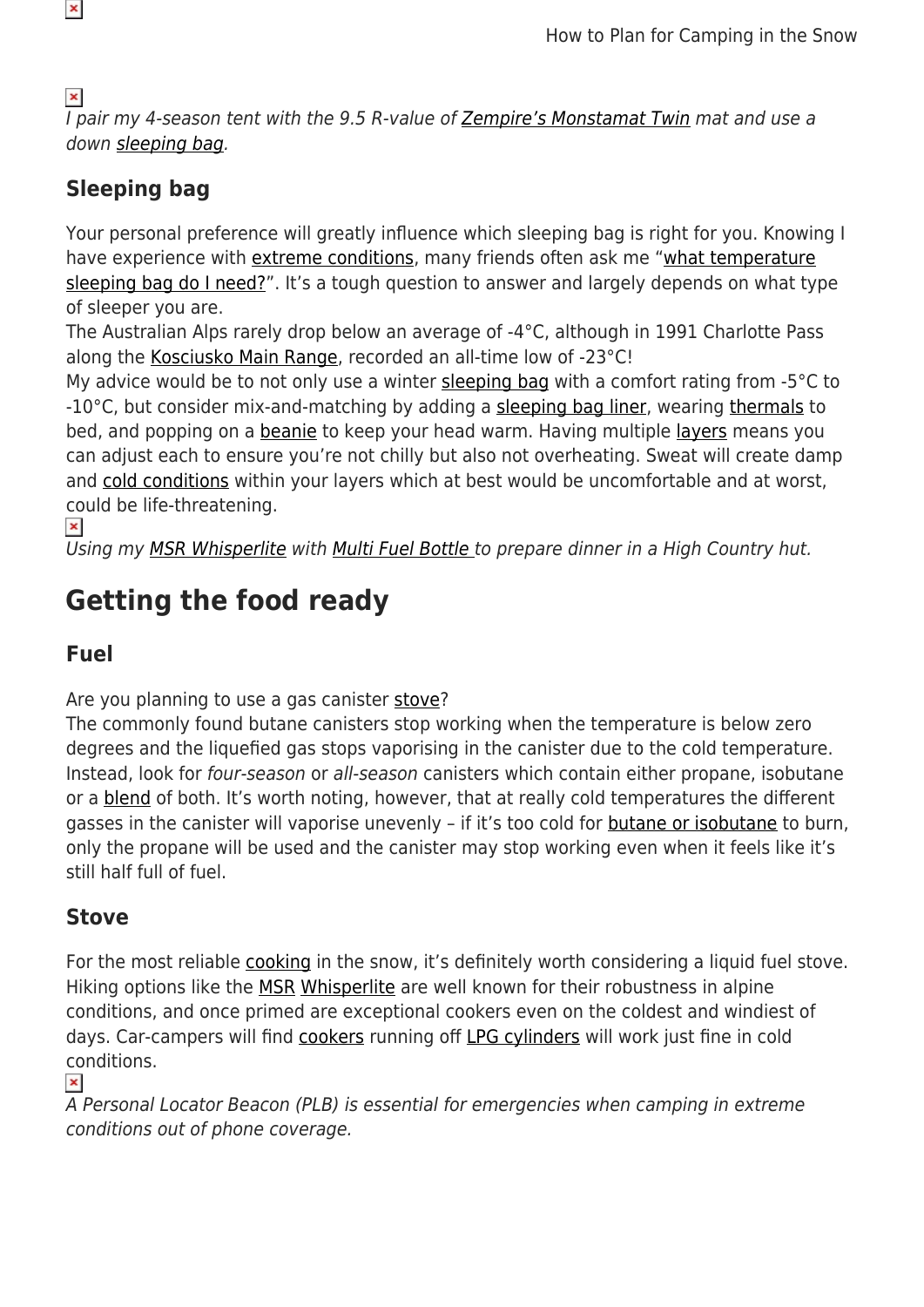$\pmb{\times}$ I pair my 4-season tent with the 9.5 R-value of [Zempire's Monstamat Twin](https://www.snowys.com.au/megamat-twin-camp-mat) mat and use a down [sleeping bag](https://www.snowys.com.au/hiking-sleeping-bags).

## **Sleeping bag**

Your personal preference will greatly influence which sleeping bag is right for you. Knowing I have experience with [extreme conditions,](https://www.snowys.com.au/blog/hiking-in-antarctica/) many friends often ask me "[what temperature](https://www.snowys.com.au/blog/what-temperature-sleeping-bag-do-i-need/) [sleeping bag do I need?](https://www.snowys.com.au/blog/what-temperature-sleeping-bag-do-i-need/)". It's a tough question to answer and largely depends on what type of sleeper you are.

The Australian Alps rarely drop below an average of -4°C, although in 1991 Charlotte Pass along the [Kosciusko Main Range,](https://www.snowys.com.au/blog/hiking-kosciusko-main-range/) recorded an all-time low of -23°C!

My advice would be to not only use a winter [sleeping bag](https://www.snowys.com.au/hiking-sleeping-bags) with a comfort rating from -5°C to -10°C, but consider mix-and-matching by adding a [sleeping bag liner,](https://www.snowys.com.au/sleeping-gear-accessories) wearing [thermals](https://www.snowys.com.au/hiking-outdoor-thermals) to bed, and popping on a [beanie](https://www.snowys.com.au/sherpa) to keep your head warm. Having multiple [layers](https://www.snowys.com.au/blog/layering-clothes-for-cold-weather-travel/) means you can adjust each to ensure you're not chilly but also not overheating. Sweat will create damp and [cold conditions](https://www.snowys.com.au/blog/crisp-air-campfires-damper-this-is-winter/) within your layers which at best would be uncomfortable and at worst, could be life-threatening.

 $\pmb{\times}$ 

Using my [MSR Whisperlite](https://www.snowys.com.au/whisperlite-international-multi-fuel-stove) with [Multi Fuel Bottle t](https://www.snowys.com.au/fuel-bottle)o prepare dinner in a High Country hut.

# **Getting the food ready**

### **Fuel**

Are you planning to use a gas canister [stove?](https://www.snowys.com.au/hiking-stoves)

The commonly found butane canisters stop working when the temperature is below zero degrees and the liquefied gas stops vaporising in the canister due to the cold temperature. Instead, look for four-season or all-season canisters which contain either propane, isobutane or a [blend](https://www.snowys.com.au/isopro-fuel) of both. It's worth noting, however, that at really cold temperatures the different gasses in the canister will vaporise unevenly – if it's too cold for [butane or isobutane](https://www.snowys.com.au/profuel-butane-gas) to burn, only the propane will be used and the canister may stop working even when it feels like it's still half full of fuel.

## **Stove**

For the most reliable [cooking](https://www.snowys.com.au/hiking-cookware) in the snow, it's definitely worth considering a liquid fuel stove. Hiking options like the [MSR](https://www.snowys.com.au/msr) [Whisperlite](https://www.snowys.com.au/whisperlite-international-multi-fuel-stove) are well known for their robustness in alpine conditions, and once primed are exceptional cookers even on the coldest and windiest of days. Car-campers will find [cookers](https://www.snowys.com.au/camping-stoves) running off [LPG cylinders](https://www.snowys.com.au/38-bsp-camping-gas-cylinder-2-kg) will work just fine in cold conditions.

#### $\pmb{\times}$

A Personal Locator Beacon (PLB) is essential for emergencies when camping in extreme conditions out of phone coverage.

 $\pmb{\times}$